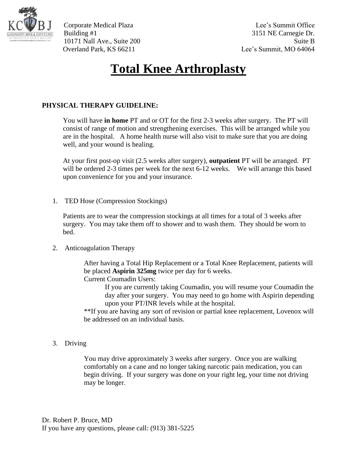

Corporate Medical Plaza Lee's Summit Office Building #1 3151 NE Carnegie Dr. 10171 Nall Ave., Suite 200 Suite B Overland Park, KS 66211 Lee's Summit, MO 64064

## **Total Knee Arthroplasty**

## **PHYSICAL THERAPY GUIDELINE:**

You will have **in home** PT and or OT for the first 2-3 weeks after surgery. The PT will consist of range of motion and strengthening exercises. This will be arranged while you are in the hospital. A home health nurse will also visit to make sure that you are doing well, and your wound is healing.

At your first post-op visit (2.5 weeks after surgery), **outpatient** PT will be arranged. PT will be ordered 2-3 times per week for the next 6-12 weeks. We will arrange this based upon convenience for you and your insurance.

1. TED Hose (Compression Stockings)

Patients are to wear the compression stockings at all times for a total of 3 weeks after surgery. You may take them off to shower and to wash them. They should be worn to bed.

2. Anticoagulation Therapy

After having a Total Hip Replacement or a Total Knee Replacement, patients will be placed **Aspirin 325mg** twice per day for 6 weeks.

Current Coumadin Users:

If you are currently taking Coumadin, you will resume your Coumadin the day after your surgery. You may need to go home with Aspirin depending upon your PT/INR levels while at the hospital.

\*\*If you are having any sort of revision or partial knee replacement, Lovenox will be addressed on an individual basis.

3. Driving

You may drive approximately 3 weeks after surgery. Once you are walking comfortably on a cane and no longer taking narcotic pain medication, you can begin driving. If your surgery was done on your right leg, your time not driving may be longer.